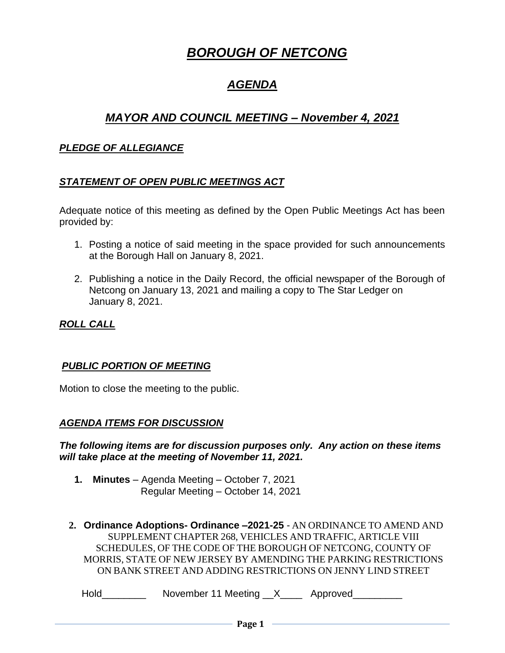# *BOROUGH OF NETCONG*

# *AGENDA*

# *MAYOR AND COUNCIL MEETING – November 4, 2021*

### *PLEDGE OF ALLEGIANCE*

# *STATEMENT OF OPEN PUBLIC MEETINGS ACT*

Adequate notice of this meeting as defined by the Open Public Meetings Act has been provided by:

- 1. Posting a notice of said meeting in the space provided for such announcements at the Borough Hall on January 8, 2021.
- 2. Publishing a notice in the Daily Record, the official newspaper of the Borough of Netcong on January 13, 2021 and mailing a copy to The Star Ledger on January 8, 2021.

### *ROLL CALL*

#### *PUBLIC PORTION OF MEETING*

Motion to close the meeting to the public.

#### *AGENDA ITEMS FOR DISCUSSION*

*The following items are for discussion purposes only. Any action on these items will take place at the meeting of November 11, 2021.*

- **1. Minutes** Agenda Meeting October 7, 2021 Regular Meeting – October 14, 2021
- **2. Ordinance Adoptions- Ordinance –2021-25** AN ORDINANCE TO AMEND AND SUPPLEMENT CHAPTER 268, VEHICLES AND TRAFFIC, ARTICLE VIII SCHEDULES, OF THE CODE OF THE BOROUGH OF NETCONG, COUNTY OF MORRIS, STATE OF NEW JERSEY BY AMENDING THE PARKING RESTRICTIONS ON BANK STREET AND ADDING RESTRICTIONS ON JENNY LIND STREET

Hold\_\_\_\_\_\_\_\_\_\_\_\_\_ November 11 Meeting \_\_X\_\_\_\_\_\_ Approved